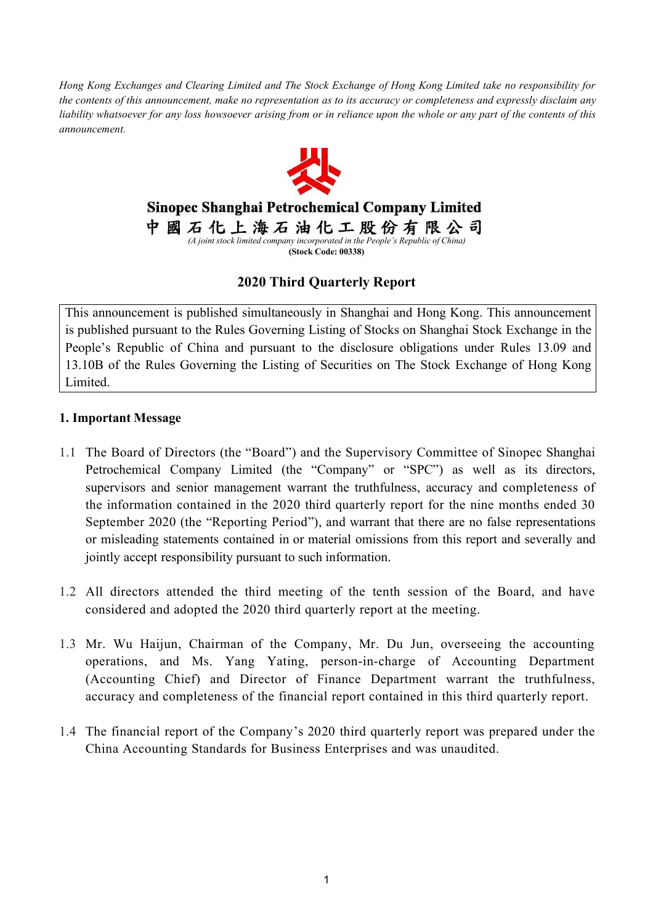Hong Kong Exchanges and Clearing Limited and The Stock Exchange of Hong Kong Limited take no responsibility for the contents of this announcement, make no representation as to its accuracy or completeness and expressly disclaim any liability whatsoever for any loss howsoever arising from or in reliance upon the whole or any part of the contents of this *announcement.*



Sinopec Shanghai Petrochemical Company Limited

中國石化上海石油化工股份有限公司 *(A joint stock limited company incorporated in the People's Republic of China)*

**(Stock Code: 00338)**

## **2020 Third Quarterly Report**

This announcement is published simultaneously in Shanghai and Hong Kong. This announcement is published pursuant to the Rules Governing Listing of Stocks on Shanghai Stock Exchange in the People's Republic of China and pursuant to the disclosure obligations under Rules 13.09 and 13.10B of the Rules Governing the Listing of Securities on The Stock Exchange of Hong Kong Limited.

#### **1. Important Message**

- 1.1 The Board of Directors (the "Board") and the Supervisory Committee of Sinopec Shanghai Petrochemical Company Limited (the "Company" or "SPC") as well as its directors, supervisors and senior management warrant the truthfulness, accuracy and completeness of the information contained in the 2020 third quarterly report for the nine months ended 30 September 2020 (the "Reporting Period"), and warrant that there are no false representations or misleading statements contained in or material omissions from this report and severally and jointly accept responsibility pursuant to such information.
- 1.2 All directors attended the third meeting of the tenth session of the Board, and have considered and adopted the 2020 third quarterly report at the meeting.
- 1.3 Mr. Wu Haijun, Chairman of the Company, Mr. Du Jun, overseeing the accounting operations, and Ms. Yang Yating, person-in-charge of Accounting Department (Accounting Chief) and Director of Finance Department warrant the truthfulness, accuracy and completeness of the financial report contained in this third quarterly report.
- 1.4 The financial report of the Company's 2020 third quarterly report was prepared under the China Accounting Standards for Business Enterprises and was unaudited.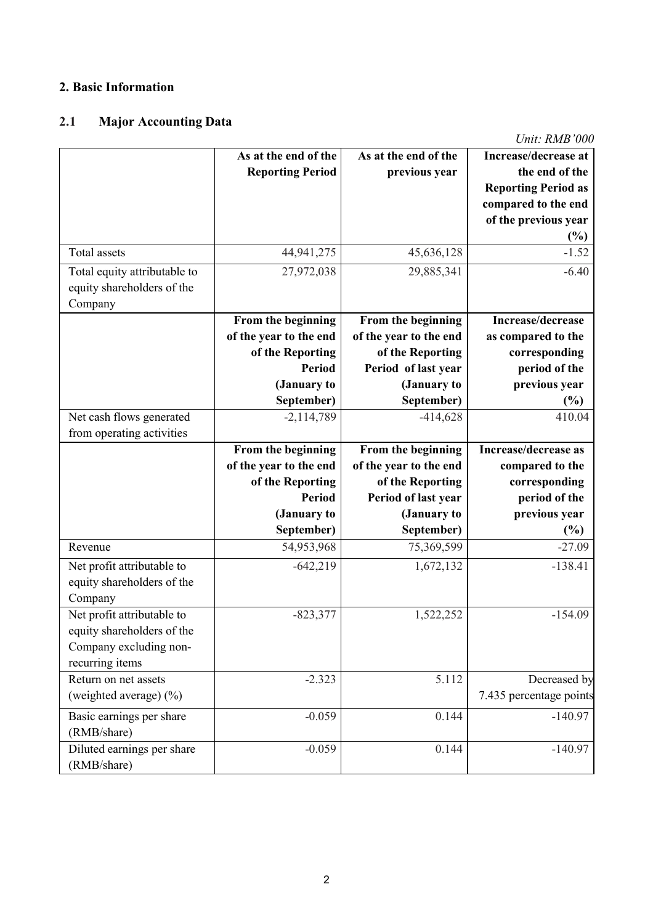### **2. Basic Information**

## **2.1 Major Accounting Data**

*Unit: RMB'000*

|                                                                                                       | As at the end of the<br><b>Reporting Period</b>                                   | As at the end of the<br>previous year                                                   | Increase/decrease at<br>the end of the<br><b>Reporting Period as</b><br>compared to the end<br>of the previous year<br>$(\%)$ |
|-------------------------------------------------------------------------------------------------------|-----------------------------------------------------------------------------------|-----------------------------------------------------------------------------------------|-------------------------------------------------------------------------------------------------------------------------------|
| Total assets                                                                                          | 44,941,275                                                                        | 45,636,128                                                                              | $-1.52$                                                                                                                       |
| Total equity attributable to<br>equity shareholders of the<br>Company                                 | 27,972,038                                                                        | 29,885,341                                                                              | $-6.40$                                                                                                                       |
|                                                                                                       | From the beginning<br>of the year to the end<br>of the Reporting<br><b>Period</b> | From the beginning<br>of the year to the end<br>of the Reporting<br>Period of last year | Increase/decrease<br>as compared to the<br>corresponding<br>period of the                                                     |
|                                                                                                       | (January to                                                                       | (January to                                                                             | previous year                                                                                                                 |
| Net cash flows generated<br>from operating activities                                                 | September)<br>$-2,114,789$                                                        | September)<br>$-414,628$                                                                | $(\%)$<br>410.04                                                                                                              |
|                                                                                                       | From the beginning<br>of the year to the end<br>of the Reporting<br><b>Period</b> | From the beginning<br>of the year to the end<br>of the Reporting<br>Period of last year | Increase/decrease as<br>compared to the<br>corresponding<br>period of the                                                     |
|                                                                                                       | (January to                                                                       | (January to                                                                             | previous year                                                                                                                 |
| Revenue                                                                                               | September)<br>54,953,968                                                          | September)<br>75,369,599                                                                | (%)<br>$-27.09$                                                                                                               |
| Net profit attributable to<br>equity shareholders of the<br>Company                                   | $-642,219$                                                                        | 1,672,132                                                                               | $-138.41$                                                                                                                     |
| Net profit attributable to<br>equity shareholders of the<br>Company excluding non-<br>recurring items | $-823,377$                                                                        | 1,522,252                                                                               | $-154.09$                                                                                                                     |
| Return on net assets                                                                                  | $-2.323$                                                                          | 5.112                                                                                   | Decreased by                                                                                                                  |
| (weighted average) (%)                                                                                |                                                                                   |                                                                                         | 7.435 percentage points                                                                                                       |
| Basic earnings per share<br>(RMB/share)                                                               | $-0.059$                                                                          | 0.144                                                                                   | $-140.97$                                                                                                                     |
| Diluted earnings per share<br>(RMB/share)                                                             | $-0.059$                                                                          | 0.144                                                                                   | $-140.97$                                                                                                                     |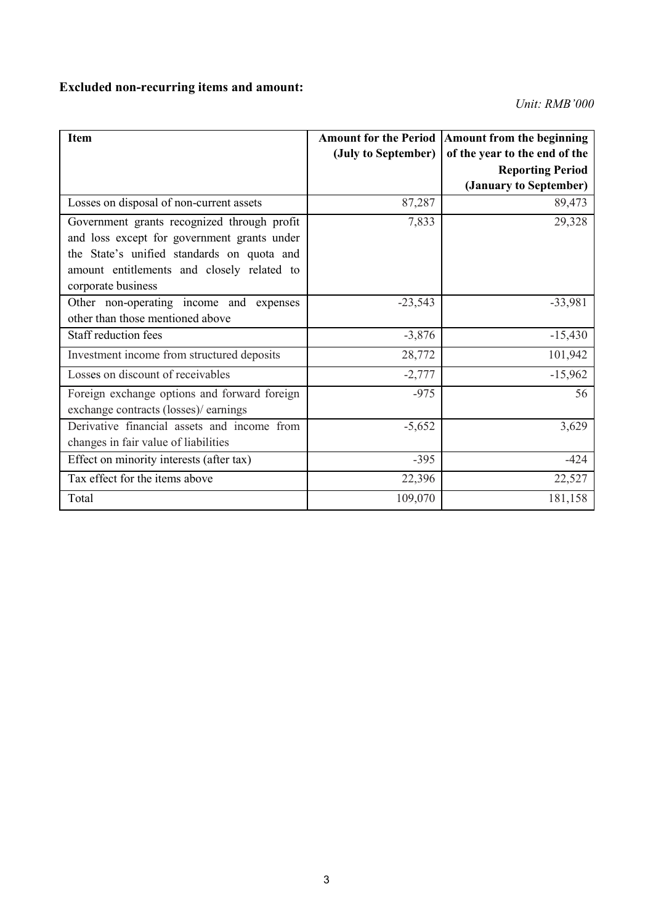# **Excluded non-recurring items and amount:**

*Unit: RMB'000*

| <b>Item</b>                                                                                                                                                                                                  | (July to September) | Amount for the Period   Amount from the beginning<br>of the year to the end of the<br><b>Reporting Period</b><br>(January to September) |
|--------------------------------------------------------------------------------------------------------------------------------------------------------------------------------------------------------------|---------------------|-----------------------------------------------------------------------------------------------------------------------------------------|
| Losses on disposal of non-current assets                                                                                                                                                                     | 87,287              | 89,473                                                                                                                                  |
| Government grants recognized through profit<br>and loss except for government grants under<br>the State's unified standards on quota and<br>amount entitlements and closely related to<br>corporate business | 7,833               | 29,328                                                                                                                                  |
| Other non-operating income and expenses<br>other than those mentioned above                                                                                                                                  | $-23,543$           | $-33,981$                                                                                                                               |
| Staff reduction fees                                                                                                                                                                                         | $-3,876$            | $-15,430$                                                                                                                               |
| Investment income from structured deposits                                                                                                                                                                   | 28,772              | 101,942                                                                                                                                 |
| Losses on discount of receivables                                                                                                                                                                            | $-2,777$            | $-15,962$                                                                                                                               |
| Foreign exchange options and forward foreign<br>exchange contracts (losses)/ earnings                                                                                                                        | $-975$              | 56                                                                                                                                      |
| Derivative financial assets and income from<br>changes in fair value of liabilities                                                                                                                          | $-5,652$            | 3,629                                                                                                                                   |
| Effect on minority interests (after tax)                                                                                                                                                                     | $-395$              | $-424$                                                                                                                                  |
| Tax effect for the items above                                                                                                                                                                               | 22,396              | 22,527                                                                                                                                  |
| Total                                                                                                                                                                                                        | 109,070             | 181,158                                                                                                                                 |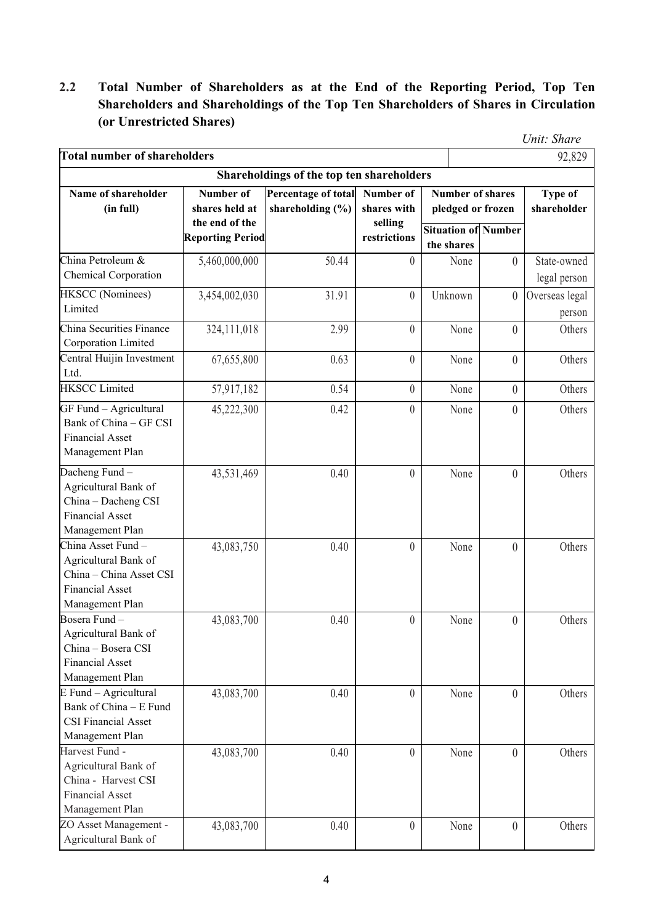### **2.2 Total Number of Shareholders as at the End of the Reporting Period, Top Ten Shareholders and Shareholdings of the Top Ten Shareholders of Shares in Circulation (or Unrestricted Shares)**

|                                                                                                                    |                                                                          |                                             |                                                     |                                                                            |                  | Unit: Share                              |
|--------------------------------------------------------------------------------------------------------------------|--------------------------------------------------------------------------|---------------------------------------------|-----------------------------------------------------|----------------------------------------------------------------------------|------------------|------------------------------------------|
| <b>Total number of shareholders</b>                                                                                |                                                                          |                                             |                                                     |                                                                            |                  | 92,829                                   |
|                                                                                                                    |                                                                          | Shareholdings of the top ten shareholders   |                                                     |                                                                            |                  |                                          |
| Name of shareholder<br>(in full)                                                                                   | Number of<br>shares held at<br>the end of the<br><b>Reporting Period</b> | Percentage of total<br>shareholding $(\% )$ | Number of<br>shares with<br>selling<br>restrictions | <b>Number of shares</b><br>pledged or frozen<br><b>Situation of Number</b> |                  | Type of<br>shareholder                   |
| China Petroleum &<br>Chemical Corporation                                                                          | 5,460,000,000                                                            | 50.44                                       | $\theta$                                            | the shares<br>None                                                         | $\theta$         | State-owned                              |
| HKSCC (Nominees)<br>Limited                                                                                        | 3,454,002,030                                                            | 31.91                                       | $\boldsymbol{0}$                                    | Unknown                                                                    | $\overline{0}$   | legal person<br>Overseas legal<br>person |
| China Securities Finance<br>Corporation Limited                                                                    | 324,111,018                                                              | 2.99                                        | $\boldsymbol{0}$                                    | None                                                                       | $\overline{0}$   | Others                                   |
| Central Huijin Investment<br>Ltd.                                                                                  | 67,655,800                                                               | 0.63                                        | $\boldsymbol{0}$                                    | None                                                                       | $\overline{0}$   | Others                                   |
| <b>HKSCC</b> Limited                                                                                               | 57,917,182                                                               | 0.54                                        | $\boldsymbol{0}$                                    | None                                                                       | $\overline{0}$   | Others                                   |
| GF Fund - Agricultural<br>Bank of China - GF CSI<br><b>Financial Asset</b><br>Management Plan                      | 45,222,300                                                               | 0.42                                        | $\boldsymbol{0}$                                    | None                                                                       | $\boldsymbol{0}$ | Others                                   |
| Dacheng Fund-<br>Agricultural Bank of<br>China - Dacheng CSI<br><b>Financial Asset</b><br>Management Plan          | 43,531,469                                                               | 0.40                                        | $\boldsymbol{0}$                                    | None                                                                       | $\overline{0}$   | Others                                   |
| China Asset Fund -<br>Agricultural Bank of<br>China - China Asset CSI<br><b>Financial Asset</b><br>Management Plan | 43,083,750                                                               | 0.40                                        | $\boldsymbol{0}$                                    | None                                                                       | $\overline{0}$   | Others                                   |
| Bosera Fund -<br>Agricultural Bank of<br>China - Bosera CSI<br><b>Financial Asset</b><br>Management Plan           | 43,083,700                                                               | 0.40                                        | $\theta$                                            | None                                                                       | $\Omega$         | Others                                   |
| E Fund - Agricultural<br>Bank of China - E Fund<br><b>CSI Financial Asset</b><br>Management Plan                   | 43,083,700                                                               | 0.40                                        | $\overline{0}$                                      | None                                                                       | $\overline{0}$   | Others                                   |
| Harvest Fund -<br>Agricultural Bank of<br>China - Harvest CSI<br><b>Financial Asset</b><br>Management Plan         | 43,083,700                                                               | 0.40                                        | $\boldsymbol{0}$                                    | None                                                                       | $\overline{0}$   | Others                                   |
| ZO Asset Management -<br>Agricultural Bank of                                                                      | 43,083,700                                                               | 0.40                                        | $\boldsymbol{0}$                                    | None                                                                       | $\theta$         | Others                                   |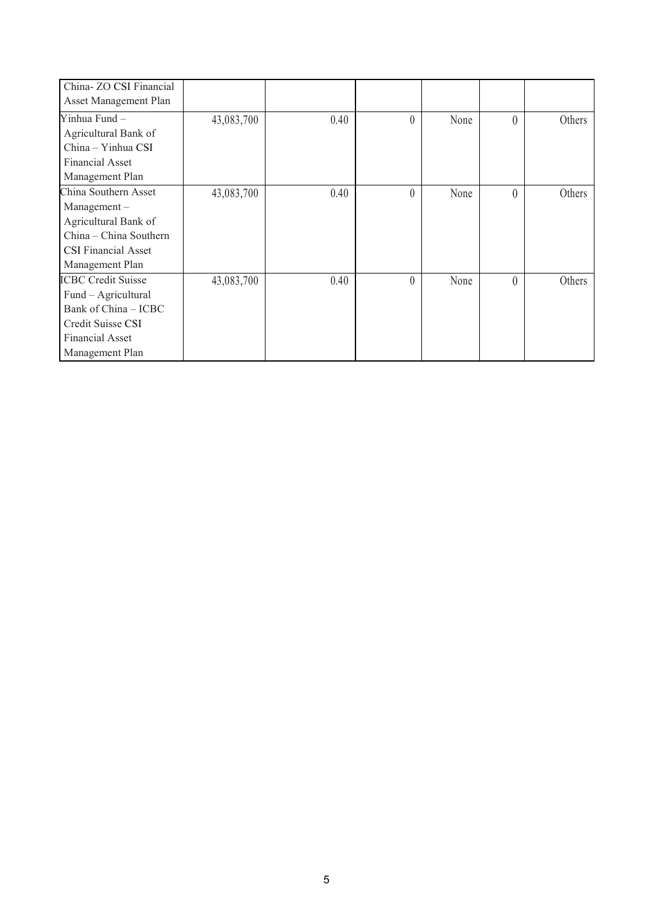| China- ZO CSI Financial    |            |      |          |      |          |        |
|----------------------------|------------|------|----------|------|----------|--------|
|                            |            |      |          |      |          |        |
| Asset Management Plan      |            |      |          |      |          |        |
| Yinhua Fund -              | 43,083,700 | 0.40 | $\theta$ | None | $\theta$ | Others |
| Agricultural Bank of       |            |      |          |      |          |        |
| China - Yinhua CSI         |            |      |          |      |          |        |
| Financial Asset            |            |      |          |      |          |        |
| Management Plan            |            |      |          |      |          |        |
| China Southern Asset       | 43,083,700 | 0.40 | $\theta$ | None | $\theta$ | Others |
| $Management -$             |            |      |          |      |          |        |
| Agricultural Bank of       |            |      |          |      |          |        |
| China - China Southern     |            |      |          |      |          |        |
| <b>CSI Financial Asset</b> |            |      |          |      |          |        |
| Management Plan            |            |      |          |      |          |        |
| <b>ICBC Credit Suisse</b>  | 43,083,700 | 0.40 | $\theta$ | None | $\theta$ | Others |
| Fund - Agricultural        |            |      |          |      |          |        |
| Bank of China - ICBC       |            |      |          |      |          |        |
| Credit Suisse CSI          |            |      |          |      |          |        |
| Financial Asset            |            |      |          |      |          |        |
| Management Plan            |            |      |          |      |          |        |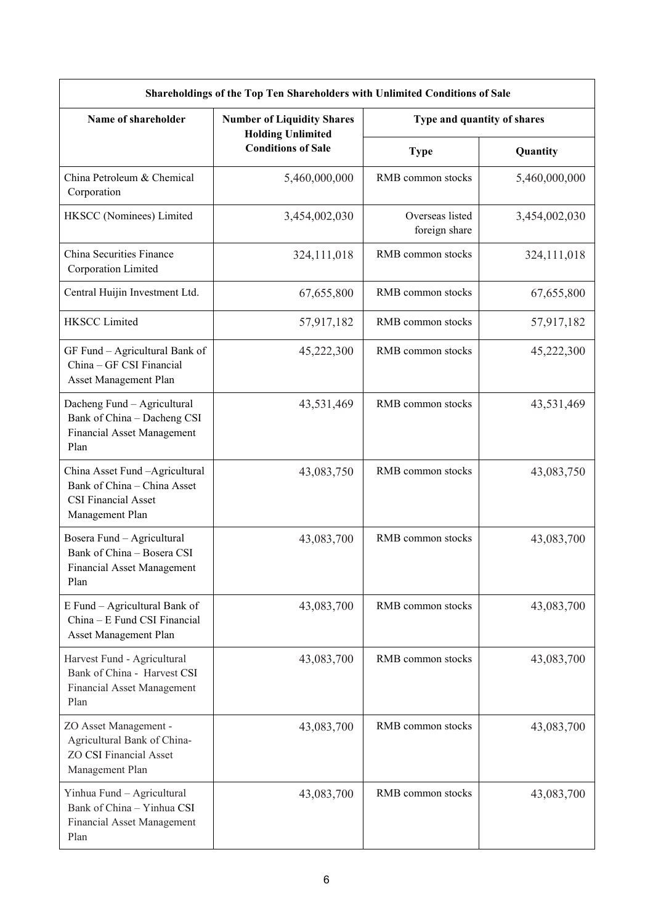| Shareholdings of the Top Ten Shareholders with Unlimited Conditions of Sale                                     |                                                               |                                  |               |  |  |  |
|-----------------------------------------------------------------------------------------------------------------|---------------------------------------------------------------|----------------------------------|---------------|--|--|--|
| Name of shareholder                                                                                             | <b>Number of Liquidity Shares</b><br><b>Holding Unlimited</b> | Type and quantity of shares      |               |  |  |  |
|                                                                                                                 | <b>Conditions of Sale</b>                                     | <b>Type</b>                      | Quantity      |  |  |  |
| China Petroleum & Chemical<br>Corporation                                                                       | 5,460,000,000                                                 | RMB common stocks                | 5,460,000,000 |  |  |  |
| HKSCC (Nominees) Limited                                                                                        | 3,454,002,030                                                 | Overseas listed<br>foreign share | 3,454,002,030 |  |  |  |
| China Securities Finance<br>Corporation Limited                                                                 | 324,111,018                                                   | RMB common stocks                | 324,111,018   |  |  |  |
| Central Huijin Investment Ltd.                                                                                  | 67,655,800                                                    | RMB common stocks                | 67,655,800    |  |  |  |
| <b>HKSCC Limited</b>                                                                                            | 57,917,182                                                    | RMB common stocks                | 57,917,182    |  |  |  |
| GF Fund - Agricultural Bank of<br>China - GF CSI Financial<br>Asset Management Plan                             | 45,222,300                                                    | RMB common stocks                | 45,222,300    |  |  |  |
| Dacheng Fund - Agricultural<br>Bank of China - Dacheng CSI<br>Financial Asset Management<br>Plan                | 43,531,469                                                    | RMB common stocks                | 43,531,469    |  |  |  |
| China Asset Fund - Agricultural<br>Bank of China - China Asset<br><b>CSI Financial Asset</b><br>Management Plan | 43,083,750                                                    | RMB common stocks                | 43,083,750    |  |  |  |
| Bosera Fund - Agricultural<br>Bank of China - Bosera CSI<br>Financial Asset Management<br>Plan                  | 43,083,700                                                    | RMB common stocks                | 43,083,700    |  |  |  |
| E Fund - Agricultural Bank of<br>China - E Fund CSI Financial<br>Asset Management Plan                          | 43,083,700                                                    | RMB common stocks                | 43,083,700    |  |  |  |
| Harvest Fund - Agricultural<br>Bank of China - Harvest CSI<br>Financial Asset Management<br>Plan                | 43,083,700                                                    | RMB common stocks                | 43,083,700    |  |  |  |
| ZO Asset Management -<br>Agricultural Bank of China-<br><b>ZO CSI Financial Asset</b><br>Management Plan        | 43,083,700                                                    | RMB common stocks                | 43,083,700    |  |  |  |
| Yinhua Fund - Agricultural<br>Bank of China - Yinhua CSI<br>Financial Asset Management<br>Plan                  | 43,083,700                                                    | RMB common stocks                | 43,083,700    |  |  |  |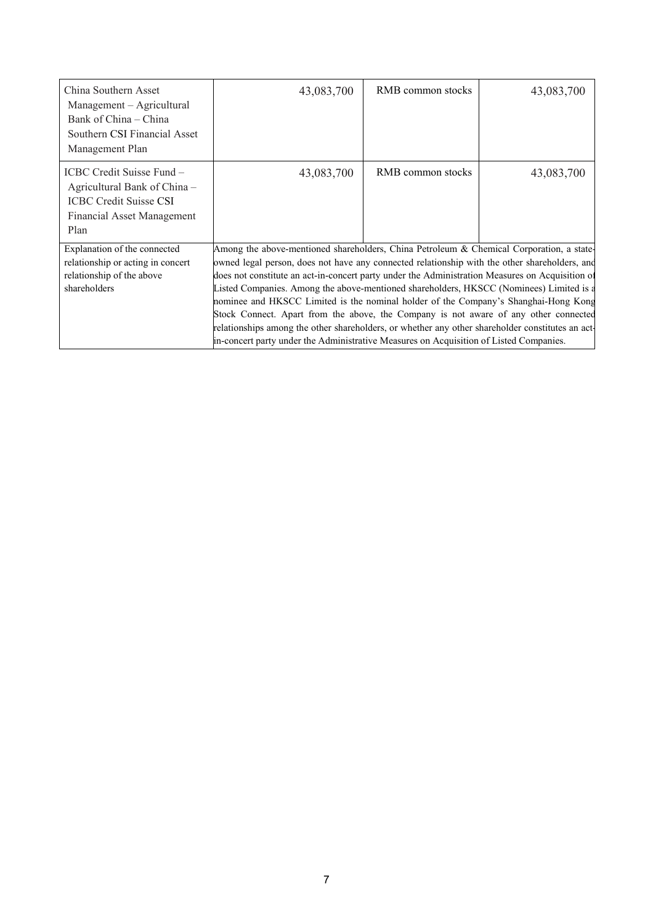| China Southern Asset<br>Management – Agricultural<br>Bank of China – China<br>Southern CSI Financial Asset<br>Management Plan    | 43,083,700                                                                                                                                                                                                                                                                                                                                                                                                                                                                                                                                                                                                                                                                                                                                                           | RMB common stocks | 43,083,700 |  |  |
|----------------------------------------------------------------------------------------------------------------------------------|----------------------------------------------------------------------------------------------------------------------------------------------------------------------------------------------------------------------------------------------------------------------------------------------------------------------------------------------------------------------------------------------------------------------------------------------------------------------------------------------------------------------------------------------------------------------------------------------------------------------------------------------------------------------------------------------------------------------------------------------------------------------|-------------------|------------|--|--|
| ICBC Credit Suisse Fund -<br>Agricultural Bank of China -<br><b>ICBC Credit Suisse CSI</b><br>Financial Asset Management<br>Plan | 43,083,700                                                                                                                                                                                                                                                                                                                                                                                                                                                                                                                                                                                                                                                                                                                                                           | RMB common stocks | 43,083,700 |  |  |
| Explanation of the connected<br>relationship or acting in concert<br>relationship of the above<br>shareholders                   | Among the above-mentioned shareholders, China Petroleum & Chemical Corporation, a state-<br>owned legal person, does not have any connected relationship with the other shareholders, and<br>does not constitute an act-in-concert party under the Administration Measures on Acquisition of<br>Listed Companies. Among the above-mentioned shareholders, HKSCC (Nominees) Limited is a<br>nominee and HKSCC Limited is the nominal holder of the Company's Shanghai-Hong Kong<br>Stock Connect. Apart from the above, the Company is not aware of any other connected<br>relationships among the other shareholders, or whether any other shareholder constitutes an act-<br>in-concert party under the Administrative Measures on Acquisition of Listed Companies. |                   |            |  |  |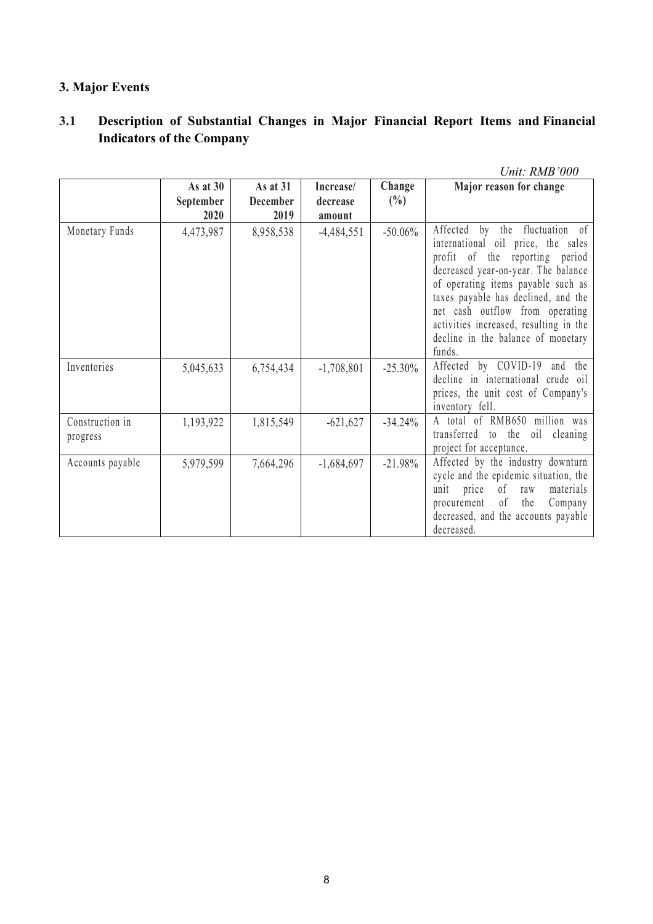### **3. Major Events**

### **3.1 Description of Substantial Changes in Major Financial Report Items and Financial Indicators** of the **Company**

|                             |                                 |                                     |                                 |                  | Unit: RMB'000                                                                                                                                                                                                                                                                                                                                           |
|-----------------------------|---------------------------------|-------------------------------------|---------------------------------|------------------|---------------------------------------------------------------------------------------------------------------------------------------------------------------------------------------------------------------------------------------------------------------------------------------------------------------------------------------------------------|
|                             | As at $30$<br>September<br>2020 | As at 31<br><b>December</b><br>2019 | Increase/<br>decrease<br>amount | Change<br>$(\%)$ | Major reason for change                                                                                                                                                                                                                                                                                                                                 |
| Monetary Funds              | 4,473,987                       | 8,958,538                           | $-4,484,551$                    | $-50.06\%$       | Affected by the fluctuation of<br>international oil price, the sales<br>profit of the reporting period<br>decreased year-on-year. The balance<br>of operating items payable such as<br>taxes payable has declined, and the<br>net cash outflow from operating<br>activities increased, resulting in the<br>decline in the balance of monetary<br>funds. |
| Inventories                 | 5,045,633                       | 6,754,434                           | $-1,708,801$                    | $-25.30\%$       | Affected by COVID-19<br>and the<br>decline in international crude oil<br>prices, the unit cost of Company's<br>inventory fell.                                                                                                                                                                                                                          |
| Construction in<br>progress | 1,193,922                       | 1,815,549                           | $-621,627$                      | $-34.24%$        | A total of RMB650 million was<br>transferred to the oil cleaning<br>project for acceptance.                                                                                                                                                                                                                                                             |
| Accounts payable            | 5,979,599                       | 7,664,296                           | $-1,684,697$                    | $-21.98%$        | Affected by the industry downturn<br>cycle and the epidemic situation, the<br>of<br>materials<br>unit price<br>raw<br>procurement of<br>the<br>Company<br>decreased, and the accounts payable<br>decreased.                                                                                                                                             |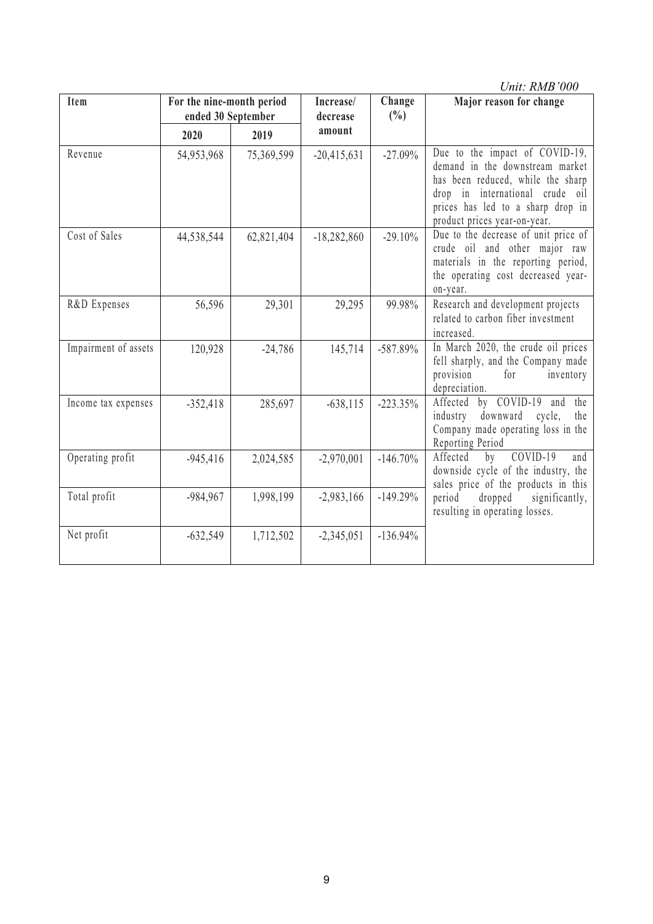|                      |                                                 |            |                                           |             | Unit: RMB'000                                                                                                                                                                                                  |
|----------------------|-------------------------------------------------|------------|-------------------------------------------|-------------|----------------------------------------------------------------------------------------------------------------------------------------------------------------------------------------------------------------|
| Item                 | For the nine-month period<br>ended 30 September |            | Change<br>Increase/<br>$(\%)$<br>decrease |             | Major reason for change                                                                                                                                                                                        |
|                      | 2020                                            | 2019       | amount                                    |             |                                                                                                                                                                                                                |
| Revenue              | 54,953,968                                      | 75,369,599 | $-20,415,631$                             | $-27.09\%$  | Due to the impact of COVID-19,<br>demand in the downstream market<br>has been reduced, while the sharp<br>drop in international crude oil<br>prices has led to a sharp drop in<br>product prices year-on-year. |
| Cost of Sales        | 44,538,544                                      | 62,821,404 | $-18,282,860$                             | $-29.10%$   | Due to the decrease of unit price of<br>crude oil and other major raw<br>materials in the reporting period,<br>the operating cost decreased year-<br>on-year.                                                  |
| R&D Expenses         | 56,596                                          | 29,301     | 29,295                                    | 99.98%      | Research and development projects<br>related to carbon fiber investment<br>increased.                                                                                                                          |
| Impairment of assets | 120,928                                         | $-24,786$  | 145,714                                   | $-587.89\%$ | In March 2020, the crude oil prices<br>fell sharply, and the Company made<br>for<br>provision<br>inventory<br>depreciation.                                                                                    |
| Income tax expenses  | $-352,418$                                      | 285,697    | $-638, 115$                               | $-223.35%$  | by COVID-19<br>the<br>Affected<br>and<br>industry<br>downward<br>the<br>cycle,                                                                                                                                 |

Operating profit  $\vert$  -945,416 | 2,024,585 | -2,970,001 | -146.70% | Affected by COVID-19 and |

Total profit -984,967 1,998,199 -2,983,166 -149.29% period dropped signif<br>resulting in operating losses.

Net profit  $-632,549$   $1,712,502$   $-2,345,051$   $-136.94\%$ 

Company made operating loss in the

downside cycle of the industry, the sales price of the products in this period dropped significantly,

Reporting Period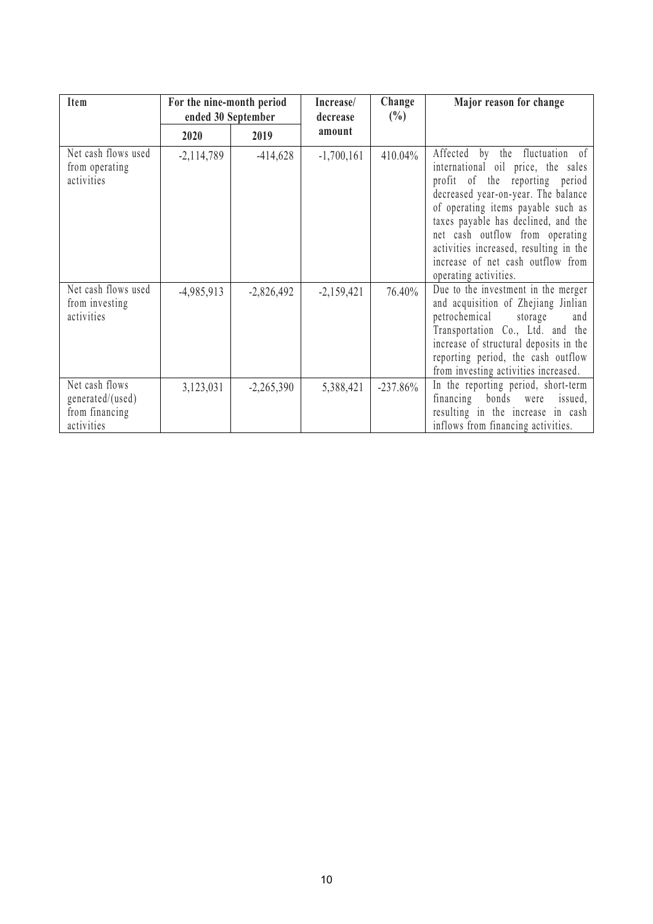| Item                                                               | For the nine-month period<br>ended 30 September |              | Increase/<br>decrease | Change<br>$(\% )$ | Major reason for change                                                                                                                                                                                                                                                                                                                                                  |
|--------------------------------------------------------------------|-------------------------------------------------|--------------|-----------------------|-------------------|--------------------------------------------------------------------------------------------------------------------------------------------------------------------------------------------------------------------------------------------------------------------------------------------------------------------------------------------------------------------------|
|                                                                    | 2020                                            | 2019         | amount                |                   |                                                                                                                                                                                                                                                                                                                                                                          |
| Net cash flows used<br>from operating<br>activities                | $-2,114,789$                                    | $-414,628$   | $-1,700,161$          | 410.04%           | Affected by<br>the fluctuation of<br>international oil price, the sales<br>profit of the reporting period<br>decreased year-on-year. The balance<br>of operating items payable such as<br>taxes payable has declined, and the<br>net cash outflow from operating<br>activities increased, resulting in the<br>increase of net cash outflow from<br>operating activities. |
| Net cash flows used<br>from investing<br>activities                | $-4,985,913$                                    | $-2,826,492$ | $-2,159,421$          | 76.40%            | Due to the investment in the merger<br>and acquisition of Zhejiang Jinlian<br>petrochemical<br>storage<br>and<br>Transportation Co., Ltd. and the<br>increase of structural deposits in the<br>reporting period, the cash outflow<br>from investing activities increased.                                                                                                |
| Net cash flows<br>generated/(used)<br>from financing<br>activities | 3,123,031                                       | $-2,265,390$ | 5,388,421             | $-237.86%$        | In the reporting period, short-term<br>financing bonds were<br>issued,<br>resulting in the increase in cash<br>inflows from financing activities.                                                                                                                                                                                                                        |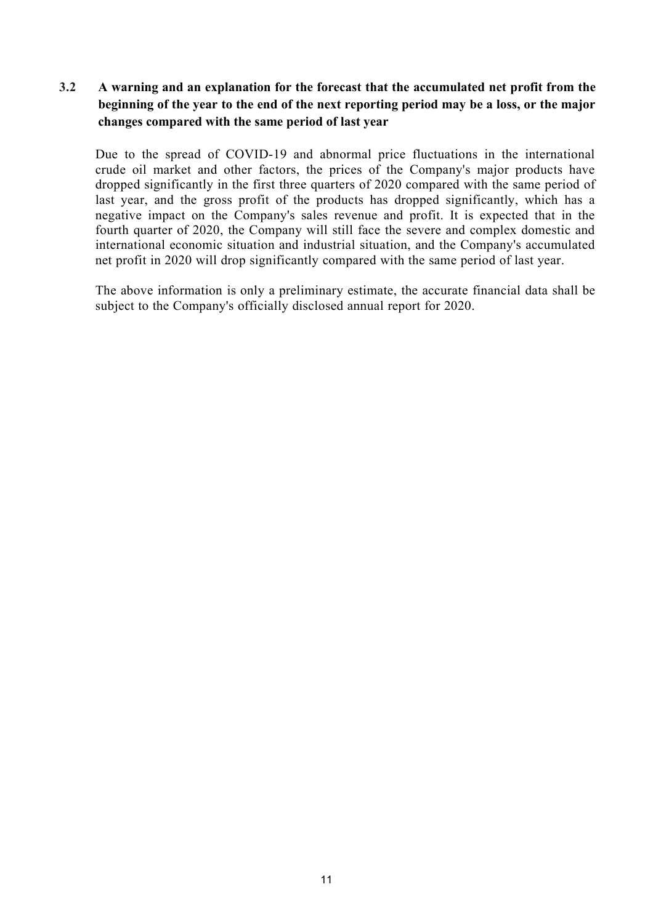#### **3.2 A warning and an explanation for the forecast that the accumulated net profit from the beginning of the year to the end of the nextreporting period may be a loss, or the major changes compared with the same period of last year**

Due to the spread of COVID-19 and abnormal price fluctuations in the international crude oil market and other factors, the prices of the Company's major products have dropped significantly in the first three quarters of 2020 compared with the same period of last year, and the gross profit of the products has dropped significantly, which has a negative impact on the Company's sales revenue and profit. It is expected that in the fourth quarter of 2020, the Company will still face the severe and complex domestic and international economic situation and industrial situation, and the Company's accumulated net profit in 2020 will drop significantly compared with the same period of last year.

The above information is only a preliminary estimate, the accurate financial data shall be subject to the Company's officially disclosed annual report for 2020.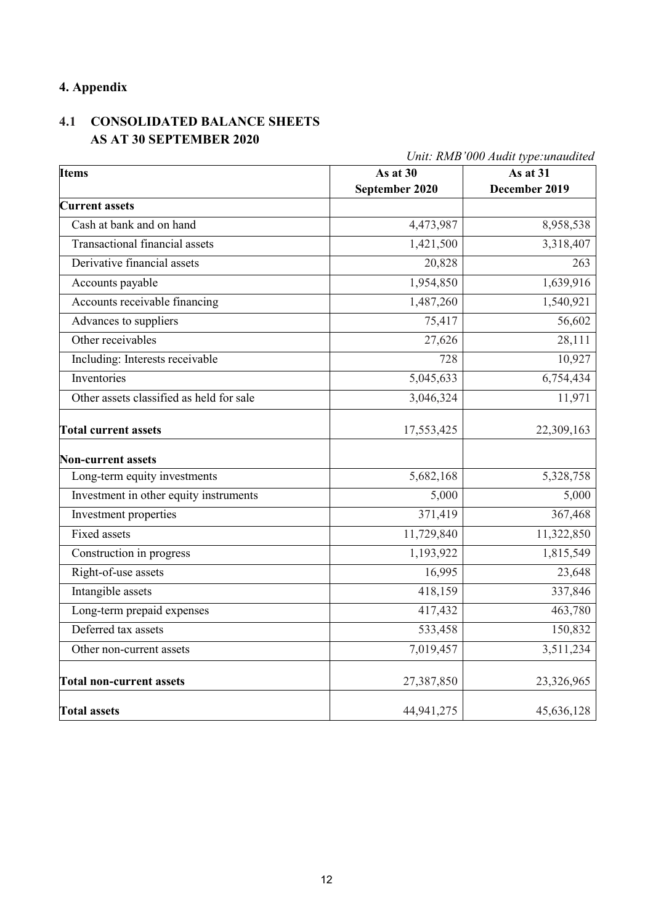### **4. Appendix**

### **4.1 CONSOLIDATED BALANCE SHEETS AS AT 30 SEPTEMBER 2020**

| <b>Items</b>                             | As at 30       | Unit: RMB 000 Audit type:unaudited<br>As at 31 |
|------------------------------------------|----------------|------------------------------------------------|
|                                          | September 2020 | December 2019                                  |
| <b>Current assets</b>                    |                |                                                |
| Cash at bank and on hand                 | 4,473,987      | 8,958,538                                      |
| <b>Transactional financial assets</b>    | 1,421,500      | 3,318,407                                      |
| Derivative financial assets              | 20,828         | 263                                            |
| Accounts payable                         | 1,954,850      | 1,639,916                                      |
| Accounts receivable financing            | 1,487,260      | 1,540,921                                      |
| Advances to suppliers                    | 75,417         | 56,602                                         |
| Other receivables                        | 27,626         | 28,111                                         |
| Including: Interests receivable          | 728            | 10,927                                         |
| Inventories                              | 5,045,633      | 6,754,434                                      |
| Other assets classified as held for sale | 3,046,324      | 11,971                                         |
| <b>Total current assets</b>              | 17,553,425     | 22,309,163                                     |
| <b>Non-current assets</b>                |                |                                                |
| Long-term equity investments             | 5,682,168      | 5,328,758                                      |
| Investment in other equity instruments   | 5,000          | 5,000                                          |
| Investment properties                    | 371,419        | 367,468                                        |
| <b>Fixed assets</b>                      | 11,729,840     | 11,322,850                                     |
| Construction in progress                 | 1,193,922      | 1,815,549                                      |
| Right-of-use assets                      | 16,995         | 23,648                                         |
| Intangible assets                        | 418,159        | 337,846                                        |
| Long-term prepaid expenses               | 417,432        | 463,780                                        |
| Deferred tax assets                      | 533,458        | 150,832                                        |
| Other non-current assets                 | 7,019,457      | 3,511,234                                      |
| <b>Total non-current assets</b>          | 27,387,850     | 23,326,965                                     |
| <b>Total assets</b>                      | 44,941,275     | 45,636,128                                     |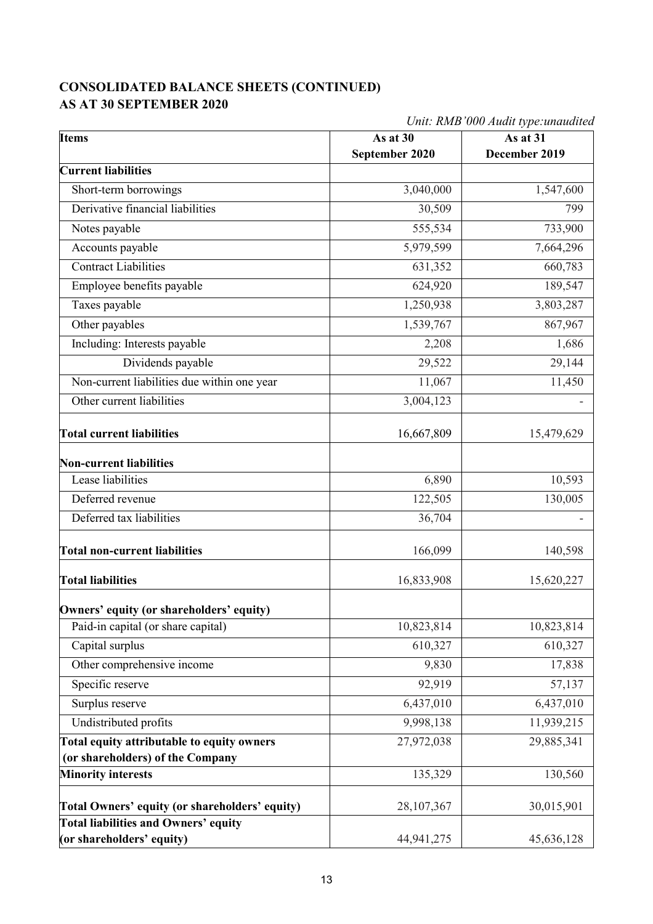### **CONSOLIDATED BALANCE SHEETS (CONTINUED) AS AT 30 SEPTEMBER 2020**

*Unit: RMB'000 Audit type:unaudited*

| <b>Items</b>                                   | As at 30       | As at 31      |
|------------------------------------------------|----------------|---------------|
|                                                | September 2020 | December 2019 |
| <b>Current liabilities</b>                     |                |               |
| Short-term borrowings                          | 3,040,000      | 1,547,600     |
| Derivative financial liabilities               | 30,509         | 799           |
| Notes payable                                  | 555,534        | 733,900       |
| Accounts payable                               | 5,979,599      | 7,664,296     |
| <b>Contract Liabilities</b>                    | 631,352        | 660,783       |
| Employee benefits payable                      | 624,920        | 189,547       |
| Taxes payable                                  | 1,250,938      | 3,803,287     |
| Other payables                                 | 1,539,767      | 867,967       |
| Including: Interests payable                   | 2,208          | 1,686         |
| Dividends payable                              | 29,522         | 29,144        |
| Non-current liabilities due within one year    | 11,067         | 11,450        |
| Other current liabilities                      | 3,004,123      |               |
| <b>Total current liabilities</b>               | 16,667,809     | 15,479,629    |
| <b>Non-current liabilities</b>                 |                |               |
| Lease liabilities                              | 6,890          | 10,593        |
| Deferred revenue                               | 122,505        | 130,005       |
| Deferred tax liabilities                       | 36,704         |               |
| <b>Total non-current liabilities</b>           | 166,099        | 140,598       |
| <b>Total liabilities</b>                       | 16,833,908     | 15,620,227    |
| Owners' equity (or shareholders' equity)       |                |               |
| Paid-in capital (or share capital)             | 10,823,814     | 10,823,814    |
| Capital surplus                                | 610,327        | 610,327       |
| Other comprehensive income                     | 9,830          | 17,838        |
| Specific reserve                               | 92,919         | 57,137        |
| Surplus reserve                                | 6,437,010      | 6,437,010     |
| Undistributed profits                          | 9,998,138      | 11,939,215    |
| Total equity attributable to equity owners     | 27,972,038     | 29,885,341    |
| (or shareholders) of the Company               |                |               |
| <b>Minority interests</b>                      | 135,329        | 130,560       |
| Total Owners' equity (or shareholders' equity) | 28, 107, 367   | 30,015,901    |
| <b>Total liabilities and Owners' equity</b>    |                |               |
| (or shareholders' equity)                      | 44, 941, 275   | 45,636,128    |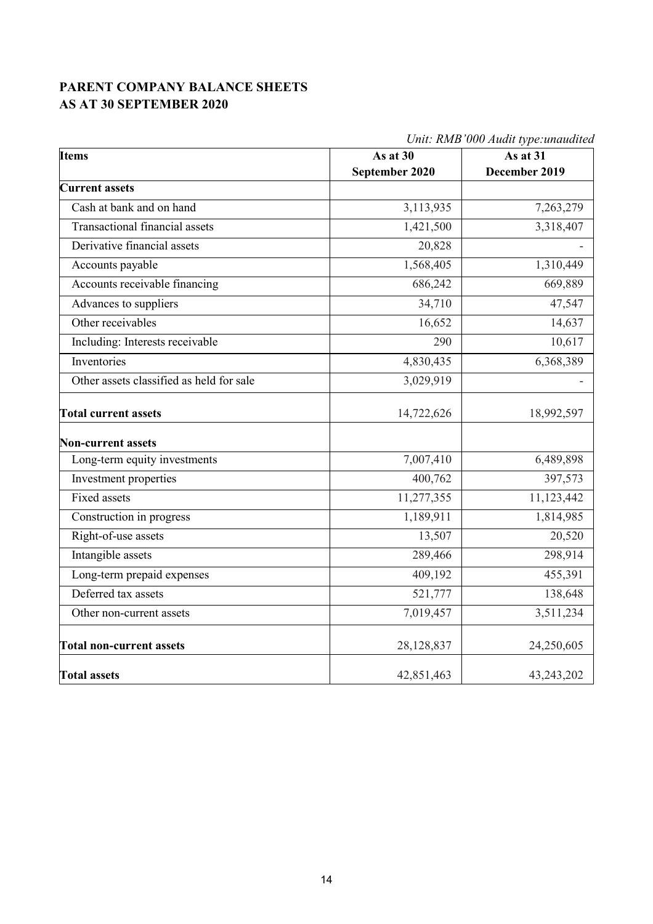### **PARENT COMPANY BALANCE SHEETS AS AT 30 SEPTEMBER 2020**

|                                          | Unit: RMB'000 Audit type: unaudited |               |  |  |  |  |
|------------------------------------------|-------------------------------------|---------------|--|--|--|--|
| <b>Items</b>                             | As at $30$                          | As at $31$    |  |  |  |  |
|                                          | September 2020                      | December 2019 |  |  |  |  |
| <b>Current assets</b>                    |                                     |               |  |  |  |  |
| Cash at bank and on hand                 | 3,113,935                           | 7,263,279     |  |  |  |  |
| Transactional financial assets           | 1,421,500                           | 3,318,407     |  |  |  |  |
| Derivative financial assets              | 20,828                              |               |  |  |  |  |
| Accounts payable                         | 1,568,405                           | 1,310,449     |  |  |  |  |
| Accounts receivable financing            | 686,242                             | 669,889       |  |  |  |  |
| Advances to suppliers                    | 34,710                              | 47,547        |  |  |  |  |
| Other receivables                        | 16,652                              | 14,637        |  |  |  |  |
| Including: Interests receivable          | 290                                 | 10,617        |  |  |  |  |
| Inventories                              | 4,830,435                           | 6,368,389     |  |  |  |  |
| Other assets classified as held for sale | 3,029,919                           |               |  |  |  |  |
| <b>Total current assets</b>              | 14,722,626                          | 18,992,597    |  |  |  |  |
| Non-current assets                       |                                     |               |  |  |  |  |
| Long-term equity investments             | 7,007,410                           | 6,489,898     |  |  |  |  |
| Investment properties                    | 400,762                             | 397,573       |  |  |  |  |
| <b>Fixed assets</b>                      | 11,277,355                          | 11,123,442    |  |  |  |  |
| Construction in progress                 | 1,189,911                           | 1,814,985     |  |  |  |  |
| Right-of-use assets                      | 13,507                              | 20,520        |  |  |  |  |
| Intangible assets                        | 289,466                             | 298,914       |  |  |  |  |
| Long-term prepaid expenses               | 409,192                             | 455,391       |  |  |  |  |
| Deferred tax assets                      | 521,777                             | 138,648       |  |  |  |  |
| Other non-current assets                 | 7,019,457                           | 3,511,234     |  |  |  |  |
| <b>Total non-current assets</b>          | 28,128,837                          | 24,250,605    |  |  |  |  |
| <b>Total assets</b>                      | 42,851,463                          | 43,243,202    |  |  |  |  |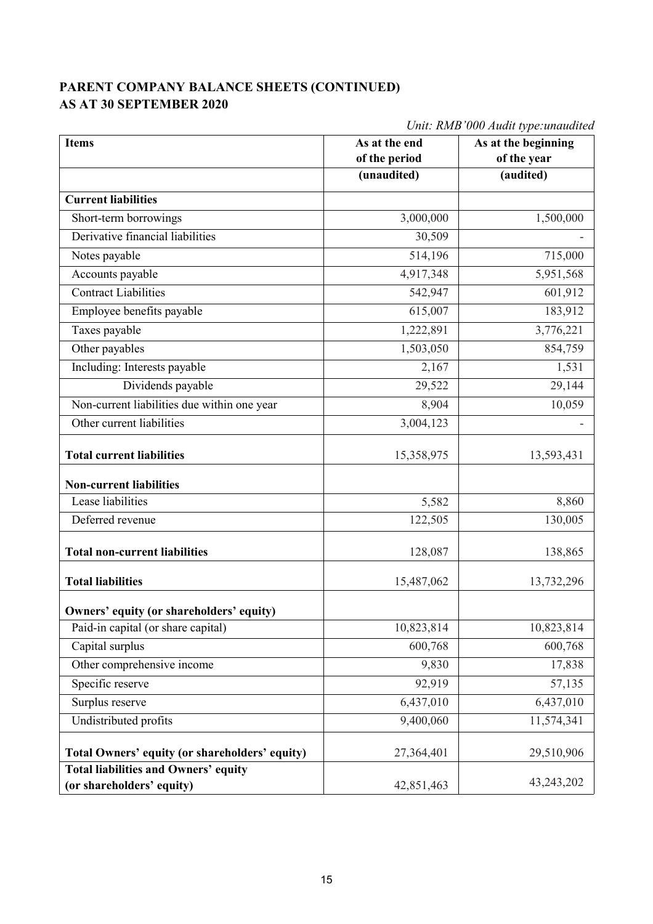### **PARENT COMPANY BALANCE SHEETS (CONTINUED) AS AT 30 SEPTEMBER 2020**

|                                                                          |               | Unit: RMB'000 Audit type: unaudited |  |  |
|--------------------------------------------------------------------------|---------------|-------------------------------------|--|--|
| <b>Items</b>                                                             | As at the end | As at the beginning                 |  |  |
|                                                                          | of the period | of the year                         |  |  |
|                                                                          | (unaudited)   | (audited)                           |  |  |
| <b>Current liabilities</b>                                               |               |                                     |  |  |
| Short-term borrowings                                                    | 3,000,000     | 1,500,000                           |  |  |
| Derivative financial liabilities                                         | 30,509        |                                     |  |  |
| Notes payable                                                            | 514,196       | 715,000                             |  |  |
| Accounts payable                                                         | 4,917,348     | 5,951,568                           |  |  |
| <b>Contract Liabilities</b>                                              | 542,947       | 601,912                             |  |  |
| Employee benefits payable                                                | 615,007       | 183,912                             |  |  |
| Taxes payable                                                            | 1,222,891     | 3,776,221                           |  |  |
| Other payables                                                           | 1,503,050     | 854,759                             |  |  |
| Including: Interests payable                                             | 2,167         | 1,531                               |  |  |
| Dividends payable                                                        | 29,522        | 29,144                              |  |  |
| Non-current liabilities due within one year                              | 8,904         | 10,059                              |  |  |
| Other current liabilities                                                | 3,004,123     |                                     |  |  |
| <b>Total current liabilities</b>                                         | 15,358,975    | 13,593,431                          |  |  |
| <b>Non-current liabilities</b>                                           |               |                                     |  |  |
| Lease liabilities                                                        | 5,582         | 8,860                               |  |  |
| Deferred revenue                                                         | 122,505       | 130,005                             |  |  |
| <b>Total non-current liabilities</b>                                     | 128,087       | 138,865                             |  |  |
| <b>Total liabilities</b>                                                 | 15,487,062    | 13,732,296                          |  |  |
| Owners' equity (or shareholders' equity)                                 |               |                                     |  |  |
| Paid-in capital (or share capital)                                       | 10,823,814    | 10,823,814                          |  |  |
| Capital surplus                                                          | 600,768       | 600,768                             |  |  |
| Other comprehensive income                                               | 9,830         | 17,838                              |  |  |
| Specific reserve                                                         | 92,919        | 57,135                              |  |  |
| Surplus reserve                                                          | 6,437,010     | 6,437,010                           |  |  |
| Undistributed profits                                                    | 9,400,060     | 11,574,341                          |  |  |
| <b>Total Owners' equity (or shareholders' equity)</b>                    | 27,364,401    | 29,510,906                          |  |  |
| <b>Total liabilities and Owners' equity</b><br>(or shareholders' equity) | 42,851,463    | 43,243,202                          |  |  |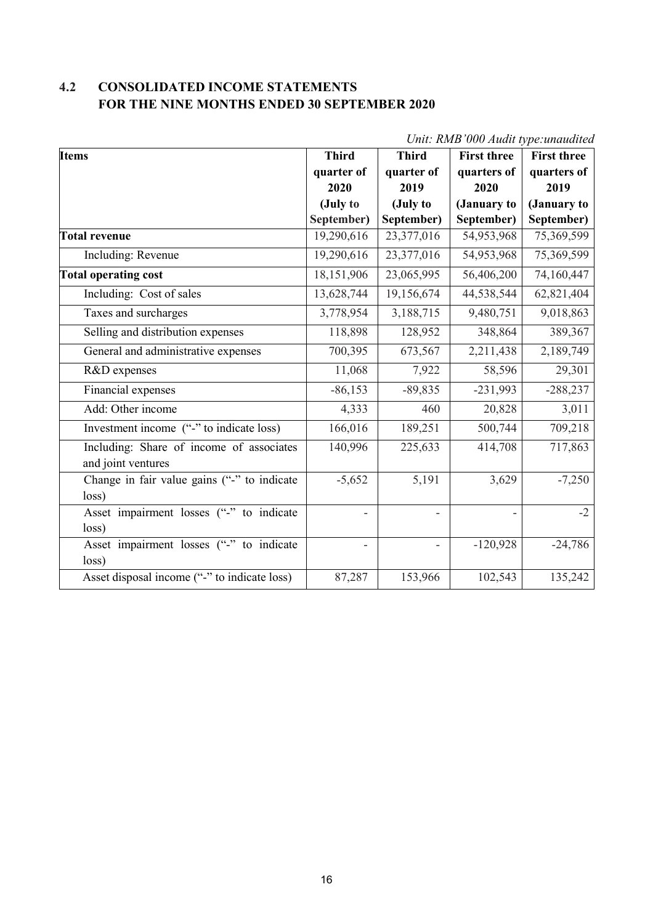### **4.2 CONSOLIDATED INCOME STATEMENTS FOR THE NINE MONTHS ENDED 30 SEPTEMBER 2020**

| Unii. Ismb vyy Augu type, andudica                             |              |              |                    |                    |
|----------------------------------------------------------------|--------------|--------------|--------------------|--------------------|
| <b>Items</b>                                                   | <b>Third</b> | <b>Third</b> | <b>First three</b> | <b>First three</b> |
|                                                                | quarter of   | quarter of   | quarters of        | quarters of        |
|                                                                | 2020         | 2019         | 2020               | 2019               |
|                                                                | (July to     | (July to     | (January to        | (January to        |
|                                                                | September)   | September)   | September)         | September)         |
| Total revenue                                                  | 19,290,616   | 23,377,016   | 54,953,968         | 75,369,599         |
| Including: Revenue                                             | 19,290,616   | 23,377,016   | 54,953,968         | 75,369,599         |
| <b>Total operating cost</b>                                    | 18,151,906   | 23,065,995   | 56,406,200         | 74,160,447         |
| Including: Cost of sales                                       | 13,628,744   | 19,156,674   | 44,538,544         | 62,821,404         |
| Taxes and surcharges                                           | 3,778,954    | 3,188,715    | 9,480,751          | 9,018,863          |
| Selling and distribution expenses                              | 118,898      | 128,952      | 348,864            | 389,367            |
| General and administrative expenses                            | 700,395      | 673,567      | 2,211,438          | 2,189,749          |
| R&D expenses                                                   | 11,068       | 7,922        | 58,596             | 29,301             |
| Financial expenses                                             | $-86,153$    | $-89,835$    | $-231,993$         | $-288,237$         |
| Add: Other income                                              | 4,333        | 460          | 20,828             | 3,011              |
| Investment income ("-" to indicate loss)                       | 166,016      | 189,251      | 500,744            | 709,218            |
| Including: Share of income of associates<br>and joint ventures | 140,996      | 225,633      | 414,708            | 717,863            |
| Change in fair value gains ("-" to indicate<br>loss)           | $-5,652$     | 5,191        | 3,629              | $-7,250$           |
| Asset impairment losses ("-" to indicate<br>loss)              |              | -            |                    | $-2$               |
| Asset impairment losses ("-" to indicate<br>loss)              |              | -            | $-120,928$         | $-24,786$          |
| Asset disposal income ("-" to indicate loss)                   | 87,287       | 153,966      | 102,543            | 135,242            |

*Unit: RMB'000 Audit type:unaudited*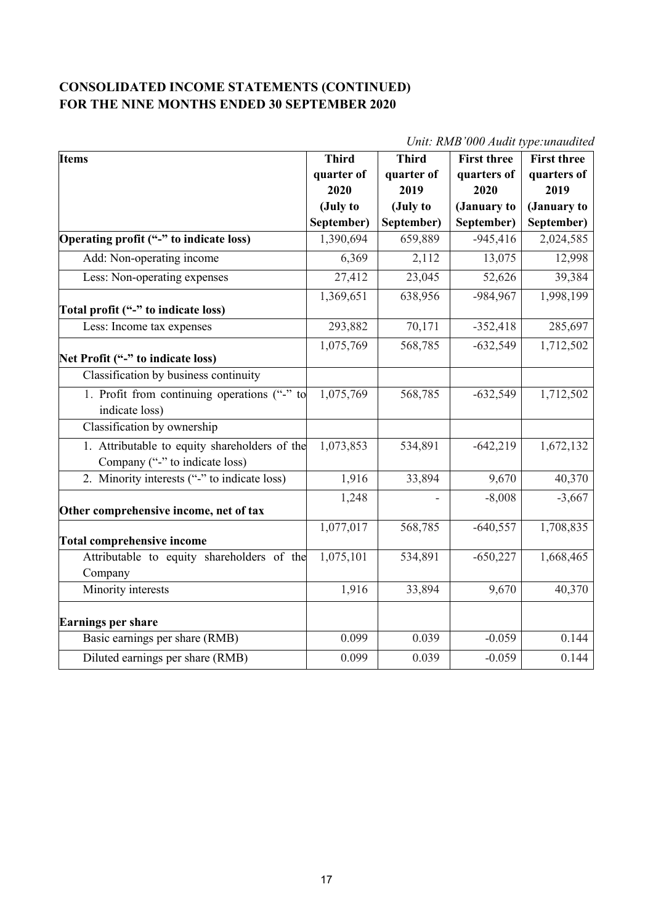#### **CONSOLIDATED INCOME STATEMENTS (CONTINUED) FOR THE NINE MONTHS ENDED 30 SEPTEMBER 2020**

|                                                                                 |              |              | опи. кир ооо лиши туре иншийней |                    |
|---------------------------------------------------------------------------------|--------------|--------------|---------------------------------|--------------------|
| <b>Items</b>                                                                    | <b>Third</b> | <b>Third</b> | <b>First three</b>              | <b>First three</b> |
|                                                                                 | quarter of   | quarter of   | quarters of                     | quarters of        |
|                                                                                 | 2020         | 2019         | 2020                            | 2019               |
|                                                                                 | (July to     | (July to     | (January to                     | (January to        |
|                                                                                 | September)   | September)   | September)                      | September)         |
| Operating profit ("-" to indicate loss)                                         | 1,390,694    | 659,889      | $-945,416$                      | 2,024,585          |
| Add: Non-operating income                                                       | 6,369        | 2,112        | 13,075                          | 12,998             |
| Less: Non-operating expenses                                                    | 27,412       | 23,045       | 52,626                          | 39,384             |
| Total profit ("-" to indicate loss)                                             | 1,369,651    | 638,956      | -984,967                        | 1,998,199          |
| Less: Income tax expenses                                                       | 293,882      | 70,171       | $-352,418$                      | 285,697            |
| Net Profit ("-" to indicate loss)                                               | 1,075,769    | 568,785      | $-632,549$                      | 1,712,502          |
| Classification by business continuity                                           |              |              |                                 |                    |
| 1. Profit from continuing operations ("-" to<br>indicate loss)                  | 1,075,769    | 568,785      | $-632,549$                      | 1,712,502          |
| Classification by ownership                                                     |              |              |                                 |                    |
| 1. Attributable to equity shareholders of the<br>Company ("-" to indicate loss) | 1,073,853    | 534,891      | $-642,219$                      | 1,672,132          |
| 2. Minority interests ("-" to indicate loss)                                    | 1,916        | 33,894       | 9,670                           | 40,370             |
| Other comprehensive income, net of tax                                          | 1,248        |              | $-8,008$                        | $-3,667$           |
| <b>Total comprehensive income</b>                                               | 1,077,017    | 568,785      | $-640,557$                      | 1,708,835          |
| Attributable to equity shareholders of the<br>Company                           | 1,075,101    | 534,891      | $-650,227$                      | 1,668,465          |
| Minority interests                                                              | 1,916        | 33,894       | 9,670                           | 40,370             |
| Earnings per share                                                              |              |              |                                 |                    |
| Basic earnings per share (RMB)                                                  | 0.099        | 0.039        | $-0.059$                        | 0.144              |
| Diluted earnings per share (RMB)                                                | 0.099        | 0.039        | $-0.059$                        | 0.144              |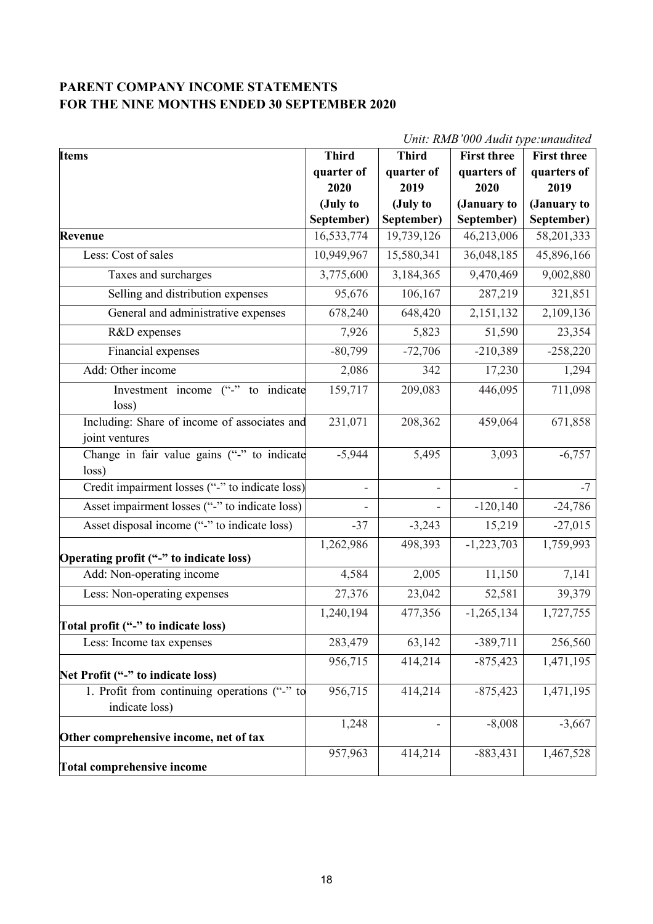#### **PARENT COMPANY INCOME STATEMENTS FOR THE NINE MONTHS ENDED 30 SEPTEMBER 2020**

| <b>Items</b>                                                   | Unit: RMB 000 Audit type: unaudited<br><b>Third</b><br><b>Third</b><br><b>First three</b><br><b>First three</b> |                    |              |                     |
|----------------------------------------------------------------|-----------------------------------------------------------------------------------------------------------------|--------------------|--------------|---------------------|
|                                                                | quarter of                                                                                                      |                    | quarters of  |                     |
|                                                                | 2020                                                                                                            | quarter of<br>2019 | 2020         | quarters of<br>2019 |
|                                                                | (July to                                                                                                        | (July to           | (January to  | (January to         |
|                                                                | September)                                                                                                      | September)         | September)   | September)          |
| Revenue                                                        | 16,533,774                                                                                                      | 19,739,126         | 46,213,006   | 58,201,333          |
| Less: Cost of sales                                            | 10,949,967                                                                                                      | 15,580,341         | 36,048,185   | 45,896,166          |
| Taxes and surcharges                                           | 3,775,600                                                                                                       | 3,184,365          | 9,470,469    | 9,002,880           |
|                                                                |                                                                                                                 |                    |              |                     |
| Selling and distribution expenses                              | 95,676                                                                                                          | 106,167            | 287,219      | 321,851             |
| General and administrative expenses                            | 678,240                                                                                                         | 648,420            | 2,151,132    | 2,109,136           |
| R&D expenses                                                   | 7,926                                                                                                           | 5,823              | 51,590       | 23,354              |
| Financial expenses                                             | $-80,799$                                                                                                       | $-72,706$          | $-210,389$   | $-258,220$          |
| Add: Other income                                              | 2,086                                                                                                           | 342                | 17,230       | 1,294               |
| $(^{44}_{-22})$<br>to indicate<br>Investment income<br>loss)   | 159,717                                                                                                         | 209,083            | 446,095      | 711,098             |
| Including: Share of income of associates and<br>joint ventures | 231,071                                                                                                         | 208,362            | 459,064      | 671,858             |
| Change in fair value gains ("-" to indicate<br>loss)           | $-5,944$                                                                                                        | 5,495              | 3,093        | $-6,757$            |
| Credit impairment losses ("-" to indicate loss)                |                                                                                                                 |                    |              | $-7$                |
| Asset impairment losses ("-" to indicate loss)                 |                                                                                                                 |                    | $-120,140$   | $-24,786$           |
| Asset disposal income ("-" to indicate loss)                   | $-37$                                                                                                           | $-3,243$           | 15,219       | $-27,015$           |
| Operating profit ("-" to indicate loss)                        | 1,262,986                                                                                                       | 498,393            | $-1,223,703$ | 1,759,993           |
| Add: Non-operating income                                      | 4,584                                                                                                           | 2,005              | 11,150       | 7,141               |
| Less: Non-operating expenses                                   | 27,376                                                                                                          | 23,042             | 52,581       | 39,379              |
| Total profit ("-" to indicate loss)                            | 1,240,194                                                                                                       | 477,356            | $-1,265,134$ | 1,727,755           |
| Less: Income tax expenses                                      | 283,479                                                                                                         | 63,142             | $-389,711$   | 256,560             |
| Net Profit ("-" to indicate loss)                              | 956,715                                                                                                         | 414,214            | $-875,423$   | 1,471,195           |
| 1. Profit from continuing operations ("-" to                   | 956,715                                                                                                         | 414,214            | $-875,423$   | 1,471,195           |
| indicate loss)                                                 |                                                                                                                 |                    |              |                     |
| Other comprehensive income, net of tax                         | 1,248                                                                                                           |                    | $-8,008$     | $-3,667$            |
| <b>Total comprehensive income</b>                              | 957,963                                                                                                         | 414,214            | $-883,431$   | 1,467,528           |

 $U_{\text{init}}$ :  $\text{PMP}$ '000 *Audit*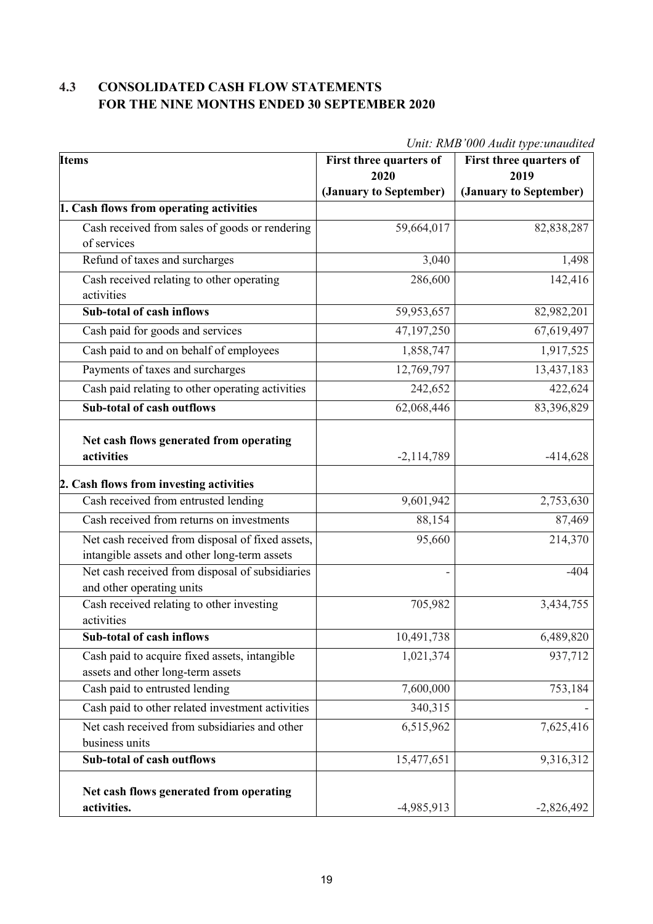### **4.3 CONSOLIDATED CASH FLOW STATEMENTS FOR THE NINE MONTHS ENDED 30 SEPTEMBER 2020**

| <b>Items</b>                                                                                     | First three quarters of<br>2020 | First three quarters of<br>2019 |
|--------------------------------------------------------------------------------------------------|---------------------------------|---------------------------------|
|                                                                                                  | (January to September)          | (January to September)          |
| 1. Cash flows from operating activities                                                          |                                 |                                 |
| Cash received from sales of goods or rendering                                                   | 59,664,017                      | 82,838,287                      |
| of services                                                                                      |                                 |                                 |
| Refund of taxes and surcharges                                                                   | 3,040                           | 1,498                           |
| Cash received relating to other operating<br>activities                                          | 286,600                         | 142,416                         |
| Sub-total of cash inflows                                                                        | 59,953,657                      | 82,982,201                      |
| Cash paid for goods and services                                                                 | 47,197,250                      | 67,619,497                      |
| Cash paid to and on behalf of employees                                                          | 1,858,747                       | 1,917,525                       |
| Payments of taxes and surcharges                                                                 | 12,769,797                      | 13,437,183                      |
| Cash paid relating to other operating activities                                                 | 242,652                         | 422,624                         |
| <b>Sub-total of cash outflows</b>                                                                | 62,068,446                      | 83,396,829                      |
| Net cash flows generated from operating<br>activities                                            | $-2,114,789$                    | $-414,628$                      |
| 2. Cash flows from investing activities                                                          |                                 |                                 |
| Cash received from entrusted lending                                                             | 9,601,942                       | 2,753,630                       |
| Cash received from returns on investments                                                        | 88,154                          | 87,469                          |
| Net cash received from disposal of fixed assets,<br>intangible assets and other long-term assets | 95,660                          | 214,370                         |
| Net cash received from disposal of subsidiaries<br>and other operating units                     |                                 | $-404$                          |
| Cash received relating to other investing<br>activities                                          | 705,982                         | 3,434,755                       |
| <b>Sub-total of cash inflows</b>                                                                 | 10,491,738                      | 6,489,820                       |
| Cash paid to acquire fixed assets, intangible<br>assets and other long-term assets               | 1,021,374                       | 937,712                         |
| Cash paid to entrusted lending                                                                   | 7,600,000                       | 753,184                         |
| Cash paid to other related investment activities                                                 | 340,315                         |                                 |
| Net cash received from subsidiaries and other<br>business units                                  | 6,515,962                       | 7,625,416                       |
| Sub-total of cash outflows                                                                       | 15,477,651                      | 9,316,312                       |
| Net cash flows generated from operating<br>activities.                                           | $-4,985,913$                    | $-2,826,492$                    |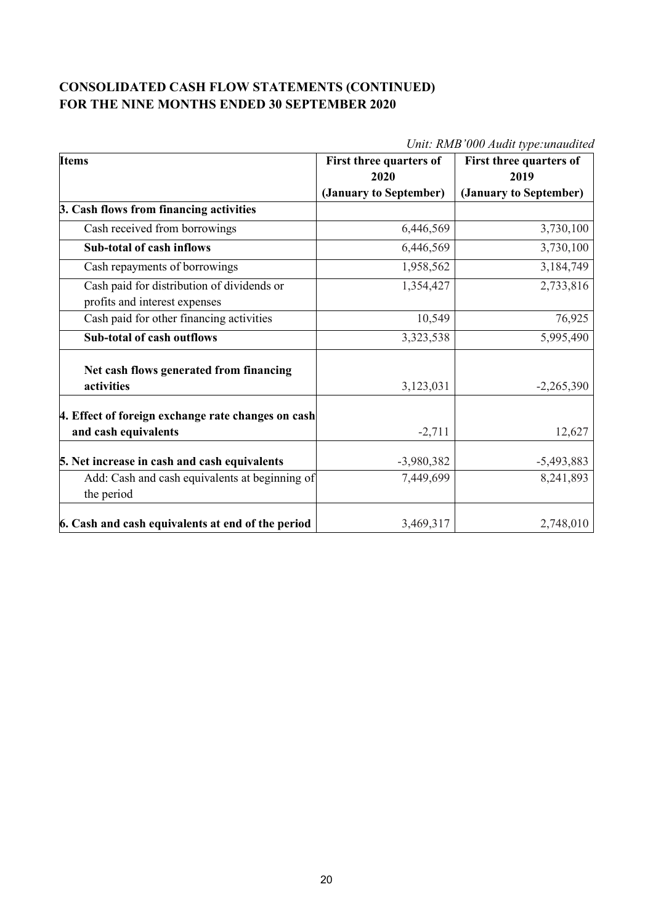#### **CONSOLIDATED CASH FLOW STATEMENTS (CONTINUED) FOR THE NINE MONTHS ENDED 30 SEPTEMBER 2020**

| <b>Items</b>                                       | First three quarters of | First three quarters of |  |
|----------------------------------------------------|-------------------------|-------------------------|--|
|                                                    | 2020                    | 2019                    |  |
|                                                    | (January to September)  | (January to September)  |  |
| 3. Cash flows from financing activities            |                         |                         |  |
| Cash received from borrowings                      | 6,446,569               | 3,730,100               |  |
| <b>Sub-total of cash inflows</b>                   | 6,446,569               | 3,730,100               |  |
| Cash repayments of borrowings                      | 1,958,562               | 3,184,749               |  |
| Cash paid for distribution of dividends or         | 1,354,427               | 2,733,816               |  |
| profits and interest expenses                      |                         |                         |  |
| Cash paid for other financing activities           | 10,549                  | 76,925                  |  |
| Sub-total of cash outflows                         | 3,323,538               | 5,995,490               |  |
| Net cash flows generated from financing            |                         |                         |  |
| activities                                         | 3,123,031               | $-2,265,390$            |  |
|                                                    |                         |                         |  |
| 4. Effect of foreign exchange rate changes on cash |                         |                         |  |
| and cash equivalents                               | $-2,711$                | 12,627                  |  |
| 5. Net increase in cash and cash equivalents       | $-3,980,382$            | $-5,493,883$            |  |
| Add: Cash and cash equivalents at beginning of     | 7,449,699               | 8,241,893               |  |
| the period                                         |                         |                         |  |
| 6. Cash and cash equivalents at end of the period  | 3,469,317               | 2,748,010               |  |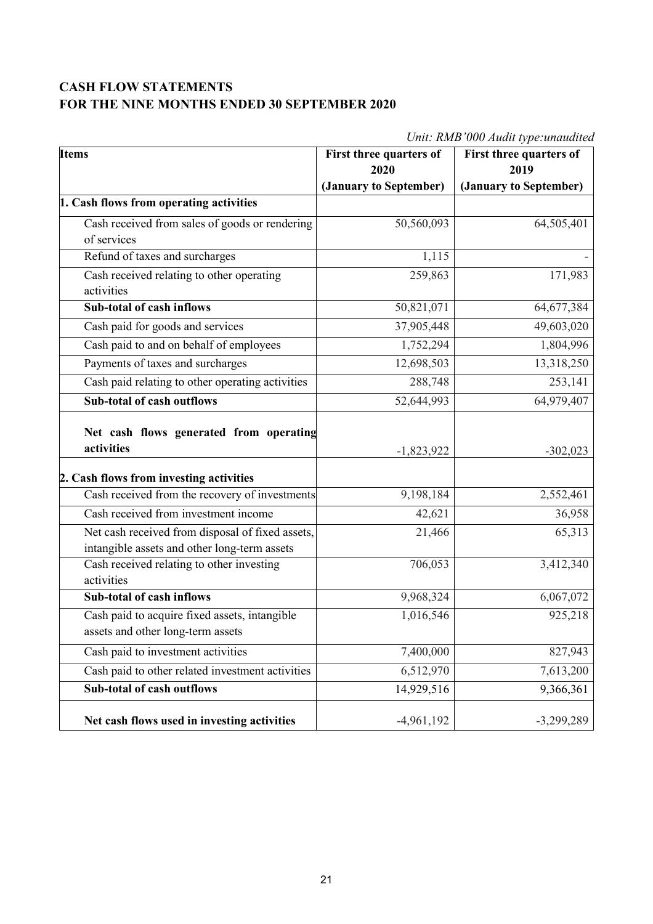#### **CASH FLOW STATEMENTS FOR THE NINE MONTHS ENDED 30 SEPTEMBER 2020**

| <b>Items</b>                                                                                     | First three quarters of<br>2020 | First three quarters of<br>2019 |
|--------------------------------------------------------------------------------------------------|---------------------------------|---------------------------------|
|                                                                                                  | (January to September)          | (January to September)          |
| 1. Cash flows from operating activities                                                          |                                 |                                 |
| Cash received from sales of goods or rendering                                                   | 50,560,093                      | 64,505,401                      |
| of services                                                                                      |                                 |                                 |
| Refund of taxes and surcharges                                                                   | 1,115                           |                                 |
| Cash received relating to other operating<br>activities                                          | 259,863                         | 171,983                         |
| Sub-total of cash inflows                                                                        | 50,821,071                      | 64,677,384                      |
| Cash paid for goods and services                                                                 | 37,905,448                      | 49,603,020                      |
| Cash paid to and on behalf of employees                                                          | 1,752,294                       | 1,804,996                       |
| Payments of taxes and surcharges                                                                 | 12,698,503                      | 13,318,250                      |
| Cash paid relating to other operating activities                                                 | 288,748                         | 253,141                         |
| <b>Sub-total of cash outflows</b>                                                                | 52,644,993                      | 64,979,407                      |
| Net cash flows generated from operating<br>activities<br>2. Cash flows from investing activities | $-1,823,922$                    | $-302,023$                      |
| Cash received from the recovery of investments                                                   | 9,198,184                       | 2,552,461                       |
| Cash received from investment income                                                             | 42,621                          | 36,958                          |
| Net cash received from disposal of fixed assets,<br>intangible assets and other long-term assets | 21,466                          | 65,313                          |
| Cash received relating to other investing<br>activities                                          | 706,053                         | 3,412,340                       |
| Sub-total of cash inflows                                                                        | 9,968,324                       | 6,067,072                       |
| Cash paid to acquire fixed assets, intangible<br>assets and other long-term assets               | 1,016,546                       | 925,218                         |
| Cash paid to investment activities                                                               | 7,400,000                       | 827,943                         |
| Cash paid to other related investment activities                                                 | 6,512,970                       | 7,613,200                       |
| <b>Sub-total of cash outflows</b>                                                                | 14,929,516                      | 9,366,361                       |
| Net cash flows used in investing activities                                                      | $-4,961,192$                    | $-3,299,289$                    |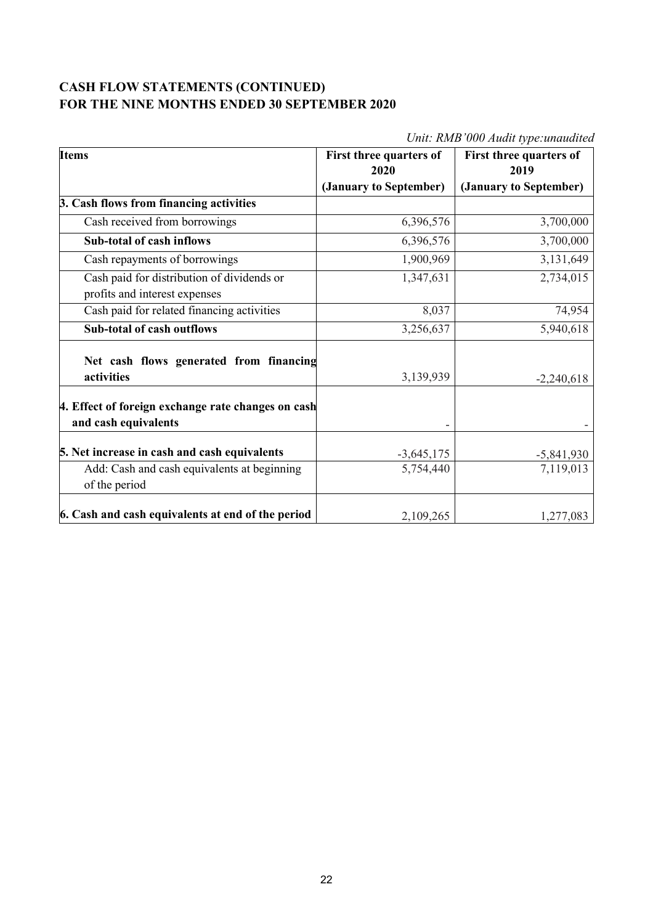#### **CASH FLOW STATEMENTS (CONTINUED) FOR THE NINE MONTHS ENDED 30 SEPTEMBER 2020**

| <b>Items</b>                                                                | First three quarters of | First three quarters of |  |
|-----------------------------------------------------------------------------|-------------------------|-------------------------|--|
|                                                                             | 2020                    | 2019                    |  |
|                                                                             | (January to September)  | (January to September)  |  |
| 3. Cash flows from financing activities                                     |                         |                         |  |
| Cash received from borrowings                                               | 6,396,576               | 3,700,000               |  |
| <b>Sub-total of cash inflows</b>                                            | 6,396,576               | 3,700,000               |  |
| Cash repayments of borrowings                                               | 1,900,969               | 3,131,649               |  |
| Cash paid for distribution of dividends or<br>profits and interest expenses | 1,347,631               | 2,734,015               |  |
| Cash paid for related financing activities                                  | 8,037                   | 74,954                  |  |
| <b>Sub-total of cash outflows</b>                                           | 3,256,637               | 5,940,618               |  |
| Net cash flows generated from financing<br>activities                       | 3,139,939               | $-2,240,618$            |  |
| 4. Effect of foreign exchange rate changes on cash<br>and cash equivalents  |                         |                         |  |
| 5. Net increase in cash and cash equivalents                                | $-3,645,175$            | $-5,841,930$            |  |
| Add: Cash and cash equivalents at beginning<br>of the period                | 5,754,440               | 7,119,013               |  |
| 6. Cash and cash equivalents at end of the period                           | 2,109,265               | 1,277,083               |  |